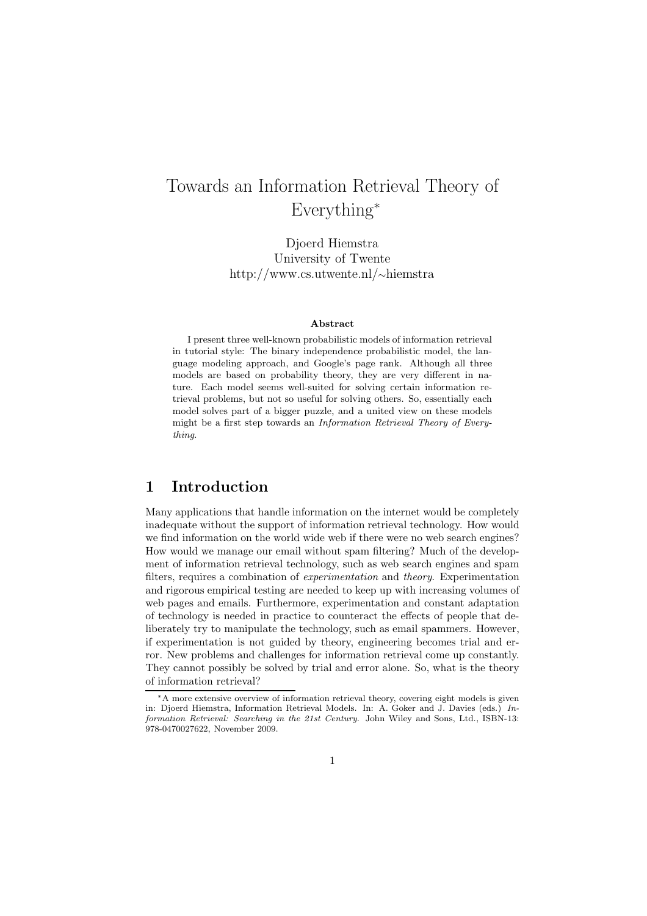# Towards an Information Retrieval Theory of Everything<sup>∗</sup>

Djoerd Hiemstra University of Twente http://www.cs.utwente.nl/∼hiemstra

#### Abstract

I present three well-known probabilistic models of information retrieval in tutorial style: The binary independence probabilistic model, the language modeling approach, and Google's page rank. Although all three models are based on probability theory, they are very different in nature. Each model seems well-suited for solving certain information retrieval problems, but not so useful for solving others. So, essentially each model solves part of a bigger puzzle, and a united view on these models might be a first step towards an Information Retrieval Theory of Everything.

### 1 Introduction

Many applications that handle information on the internet would be completely inadequate without the support of information retrieval technology. How would we find information on the world wide web if there were no web search engines? How would we manage our email without spam filtering? Much of the development of information retrieval technology, such as web search engines and spam filters, requires a combination of experimentation and theory. Experimentation and rigorous empirical testing are needed to keep up with increasing volumes of web pages and emails. Furthermore, experimentation and constant adaptation of technology is needed in practice to counteract the effects of people that deliberately try to manipulate the technology, such as email spammers. However, if experimentation is not guided by theory, engineering becomes trial and error. New problems and challenges for information retrieval come up constantly. They cannot possibly be solved by trial and error alone. So, what is the theory of information retrieval?

<sup>∗</sup>A more extensive overview of information retrieval theory, covering eight models is given in: Djoerd Hiemstra, Information Retrieval Models. In: A. Goker and J. Davies (eds.) Information Retrieval: Searching in the 21st Century. John Wiley and Sons, Ltd., ISBN-13: 978-0470027622, November 2009.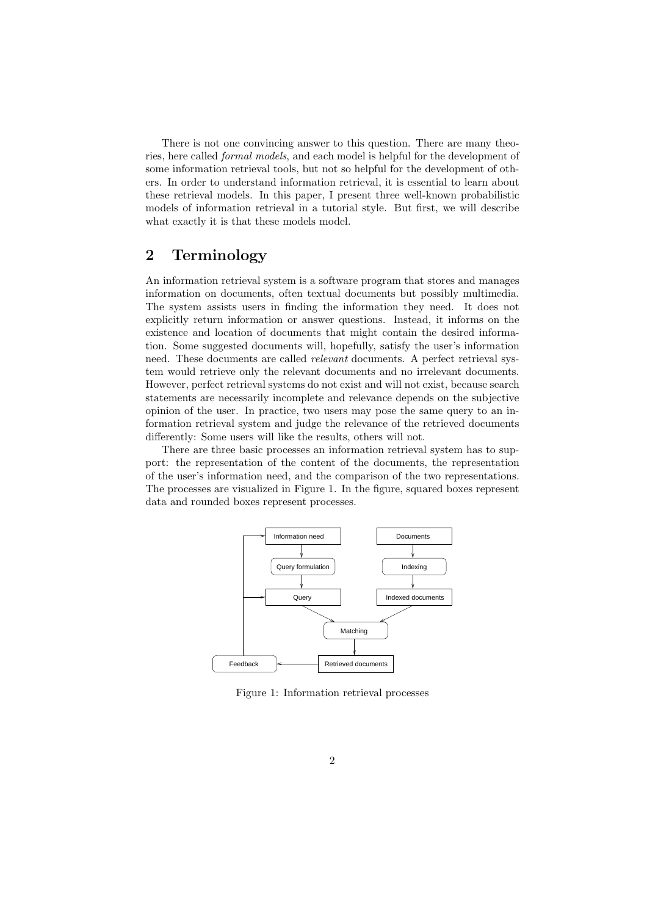There is not one convincing answer to this question. There are many theories, here called formal models, and each model is helpful for the development of some information retrieval tools, but not so helpful for the development of others. In order to understand information retrieval, it is essential to learn about these retrieval models. In this paper, I present three well-known probabilistic models of information retrieval in a tutorial style. But first, we will describe what exactly it is that these models model.

## 2 Terminology

An information retrieval system is a software program that stores and manages information on documents, often textual documents but possibly multimedia. The system assists users in finding the information they need. It does not explicitly return information or answer questions. Instead, it informs on the existence and location of documents that might contain the desired information. Some suggested documents will, hopefully, satisfy the user's information need. These documents are called relevant documents. A perfect retrieval system would retrieve only the relevant documents and no irrelevant documents. However, perfect retrieval systems do not exist and will not exist, because search statements are necessarily incomplete and relevance depends on the subjective opinion of the user. In practice, two users may pose the same query to an information retrieval system and judge the relevance of the retrieved documents differently: Some users will like the results, others will not.

There are three basic processes an information retrieval system has to support: the representation of the content of the documents, the representation of the user's information need, and the comparison of the two representations. The processes are visualized in Figure 1. In the figure, squared boxes represent data and rounded boxes represent processes.



Figure 1: Information retrieval processes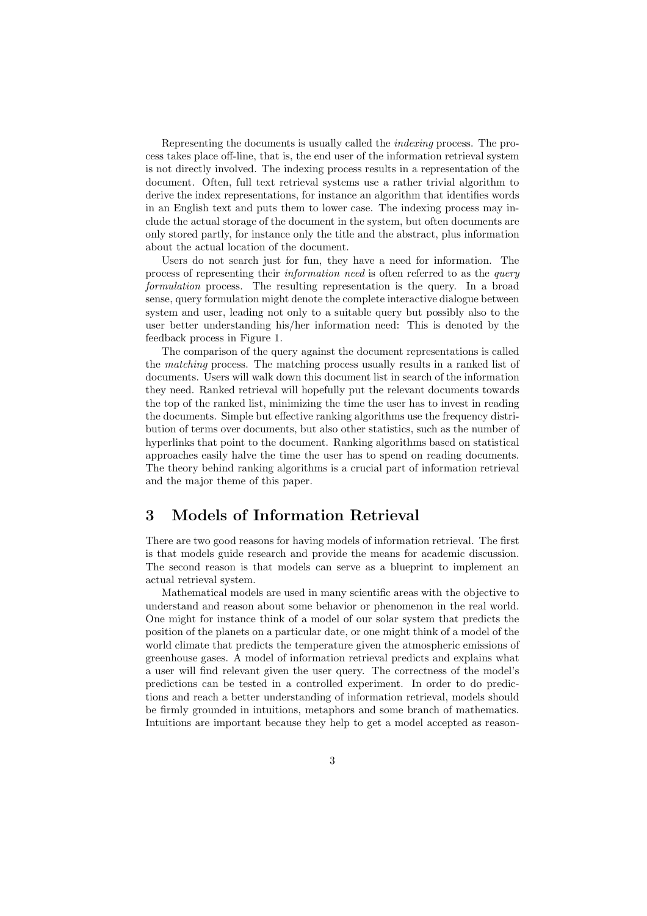Representing the documents is usually called the indexing process. The process takes place off-line, that is, the end user of the information retrieval system is not directly involved. The indexing process results in a representation of the document. Often, full text retrieval systems use a rather trivial algorithm to derive the index representations, for instance an algorithm that identifies words in an English text and puts them to lower case. The indexing process may include the actual storage of the document in the system, but often documents are only stored partly, for instance only the title and the abstract, plus information about the actual location of the document.

Users do not search just for fun, they have a need for information. The process of representing their information need is often referred to as the query formulation process. The resulting representation is the query. In a broad sense, query formulation might denote the complete interactive dialogue between system and user, leading not only to a suitable query but possibly also to the user better understanding his/her information need: This is denoted by the feedback process in Figure 1.

The comparison of the query against the document representations is called the matching process. The matching process usually results in a ranked list of documents. Users will walk down this document list in search of the information they need. Ranked retrieval will hopefully put the relevant documents towards the top of the ranked list, minimizing the time the user has to invest in reading the documents. Simple but effective ranking algorithms use the frequency distribution of terms over documents, but also other statistics, such as the number of hyperlinks that point to the document. Ranking algorithms based on statistical approaches easily halve the time the user has to spend on reading documents. The theory behind ranking algorithms is a crucial part of information retrieval and the major theme of this paper.

### 3 Models of Information Retrieval

There are two good reasons for having models of information retrieval. The first is that models guide research and provide the means for academic discussion. The second reason is that models can serve as a blueprint to implement an actual retrieval system.

Mathematical models are used in many scientific areas with the objective to understand and reason about some behavior or phenomenon in the real world. One might for instance think of a model of our solar system that predicts the position of the planets on a particular date, or one might think of a model of the world climate that predicts the temperature given the atmospheric emissions of greenhouse gases. A model of information retrieval predicts and explains what a user will find relevant given the user query. The correctness of the model's predictions can be tested in a controlled experiment. In order to do predictions and reach a better understanding of information retrieval, models should be firmly grounded in intuitions, metaphors and some branch of mathematics. Intuitions are important because they help to get a model accepted as reason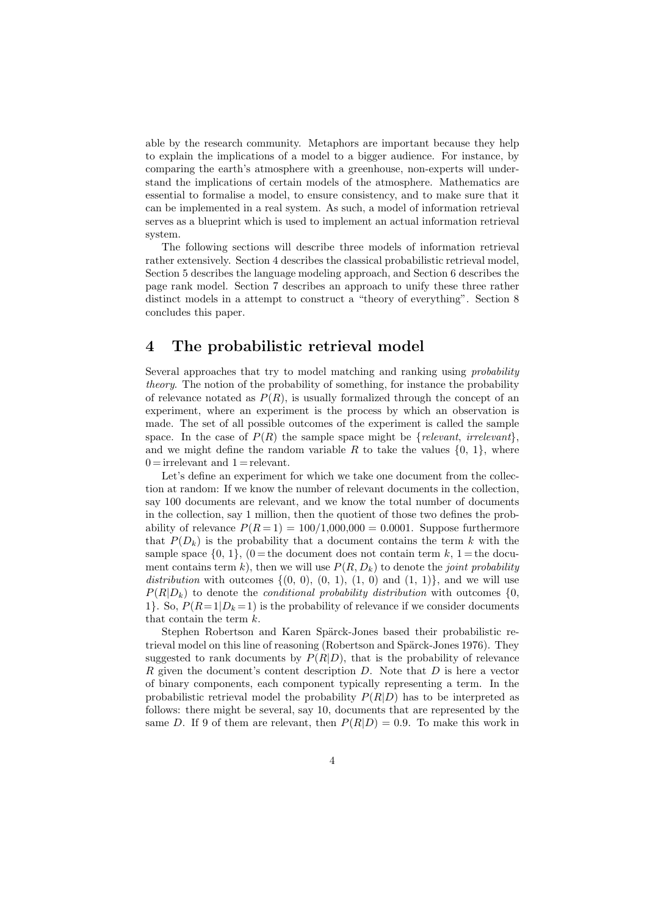able by the research community. Metaphors are important because they help to explain the implications of a model to a bigger audience. For instance, by comparing the earth's atmosphere with a greenhouse, non-experts will understand the implications of certain models of the atmosphere. Mathematics are essential to formalise a model, to ensure consistency, and to make sure that it can be implemented in a real system. As such, a model of information retrieval serves as a blueprint which is used to implement an actual information retrieval system.

The following sections will describe three models of information retrieval rather extensively. Section 4 describes the classical probabilistic retrieval model, Section 5 describes the language modeling approach, and Section 6 describes the page rank model. Section 7 describes an approach to unify these three rather distinct models in a attempt to construct a "theory of everything". Section 8 concludes this paper.

### 4 The probabilistic retrieval model

Several approaches that try to model matching and ranking using probability theory. The notion of the probability of something, for instance the probability of relevance notated as  $P(R)$ , is usually formalized through the concept of an experiment, where an experiment is the process by which an observation is made. The set of all possible outcomes of the experiment is called the sample space. In the case of  $P(R)$  the sample space might be {relevant, irrelevant}. and we might define the random variable R to take the values  $\{0, 1\}$ , where  $0 =$  irrelevant and  $1 =$  relevant.

Let's define an experiment for which we take one document from the collection at random: If we know the number of relevant documents in the collection, say 100 documents are relevant, and we know the total number of documents in the collection, say 1 million, then the quotient of those two defines the probability of relevance  $P(R=1) = 100/1,000,000 = 0.0001$ . Suppose furthermore that  $P(D_k)$  is the probability that a document contains the term k with the sample space  $\{0, 1\}$ ,  $(0)$  = the document does not contain term k, 1 = the document contains term k), then we will use  $P(R, D_k)$  to denote the *joint probability* distribution with outcomes  $\{(0, 0), (0, 1), (1, 0) \text{ and } (1, 1)\}\$ , and we will use  $P(R|D_k)$  to denote the *conditional probability distribution* with outcomes  $\{0,$ 1}. So,  $P(R=1|D_k=1)$  is the probability of relevance if we consider documents that contain the term k.

Stephen Robertson and Karen Spärck-Jones based their probabilistic retrieval model on this line of reasoning (Robertson and Spärck-Jones 1976). They suggested to rank documents by  $P(R|D)$ , that is the probability of relevance R given the document's content description  $D$ . Note that  $D$  is here a vector of binary components, each component typically representing a term. In the probabilistic retrieval model the probability  $P(R|D)$  has to be interpreted as follows: there might be several, say 10, documents that are represented by the same D. If 9 of them are relevant, then  $P(R|D) = 0.9$ . To make this work in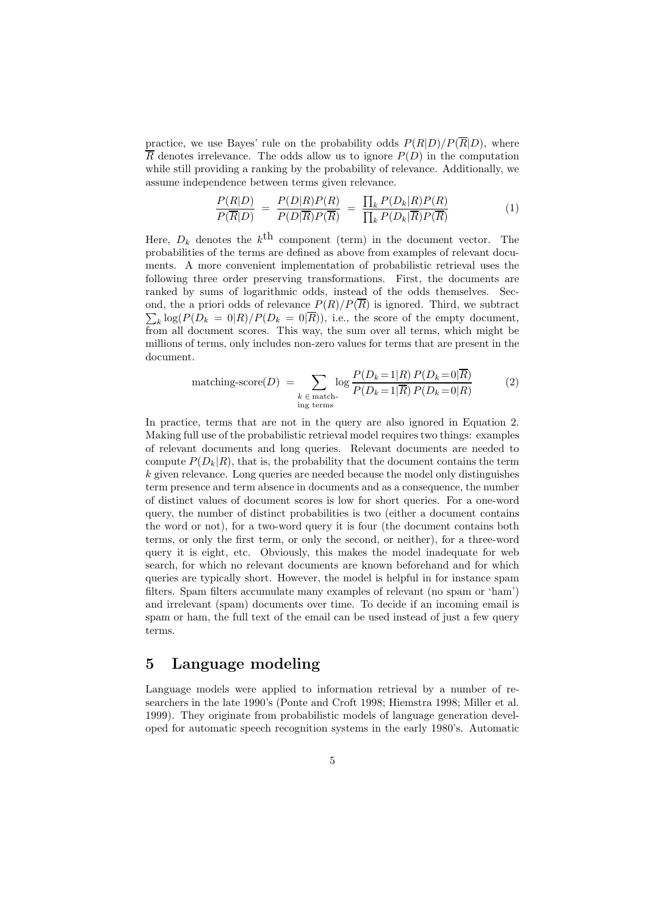practice, we use Bayes' rule on the probability odds  $P(R|D)/P(\overline{R}|D)$ , where  $\overline{R}$  denotes irrelevance. The odds allow us to ignore  $P(D)$  in the computation while still providing a ranking by the probability of relevance. Additionally, we assume independence between terms given relevance.

$$
\frac{P(R|D)}{P(\overline{R}|D)} = \frac{P(D|R)P(R)}{P(D|\overline{R})P(\overline{R})} = \frac{\prod_{k} P(D_{k}|R)P(R)}{\prod_{k} P(D_{k}|\overline{R})P(\overline{R})} \tag{1}
$$

Here,  $D_k$  denotes the  $k^{\text{th}}$  component (term) in the document vector. The probabilities of the terms are defined as above from examples of relevant documents. A more convenient implementation of probabilistic retrieval uses the following three order preserving transformations. First, the documents are ranked by sums of logarithmic odds, instead of the odds themselves. Sec- $\sum_{k} \log(P(D_k = 0 | R)/P(D_k = 0 | R))$ , i.e., the score of the empty document, ond, the a priori odds of relevance  $P(R)/P(\overline{R})$  is ignored. Third, we subtract from all document scores. This way, the sum over all terms, which might be millions of terms, only includes non-zero values for terms that are present in the document.

$$
\text{matching-score}(D) = \sum_{\substack{k \in \text{match} \\ \text{ing terms}}} \log \frac{P(D_k=1|R) P(D_k=0|\overline{R})}{P(D_k=1|\overline{R}) P(D_k=0|R)} \tag{2}
$$

In practice, terms that are not in the query are also ignored in Equation 2. Making full use of the probabilistic retrieval model requires two things: examples of relevant documents and long queries. Relevant documents are needed to compute  $P(D_k|R)$ , that is, the probability that the document contains the term k given relevance. Long queries are needed because the model only distinguishes term presence and term absence in documents and as a consequence, the number of distinct values of document scores is low for short queries. For a one-word query, the number of distinct probabilities is two (either a document contains the word or not), for a two-word query it is four (the document contains both terms, or only the first term, or only the second, or neither), for a three-word query it is eight, etc. Obviously, this makes the model inadequate for web search, for which no relevant documents are known beforehand and for which queries are typically short. However, the model is helpful in for instance spam filters. Spam filters accumulate many examples of relevant (no spam or 'ham') and irrelevant (spam) documents over time. To decide if an incoming email is spam or ham, the full text of the email can be used instead of just a few query terms.

# 5 Language modeling

Language models were applied to information retrieval by a number of researchers in the late 1990's (Ponte and Croft 1998; Hiemstra 1998; Miller et al. 1999). They originate from probabilistic models of language generation developed for automatic speech recognition systems in the early 1980's. Automatic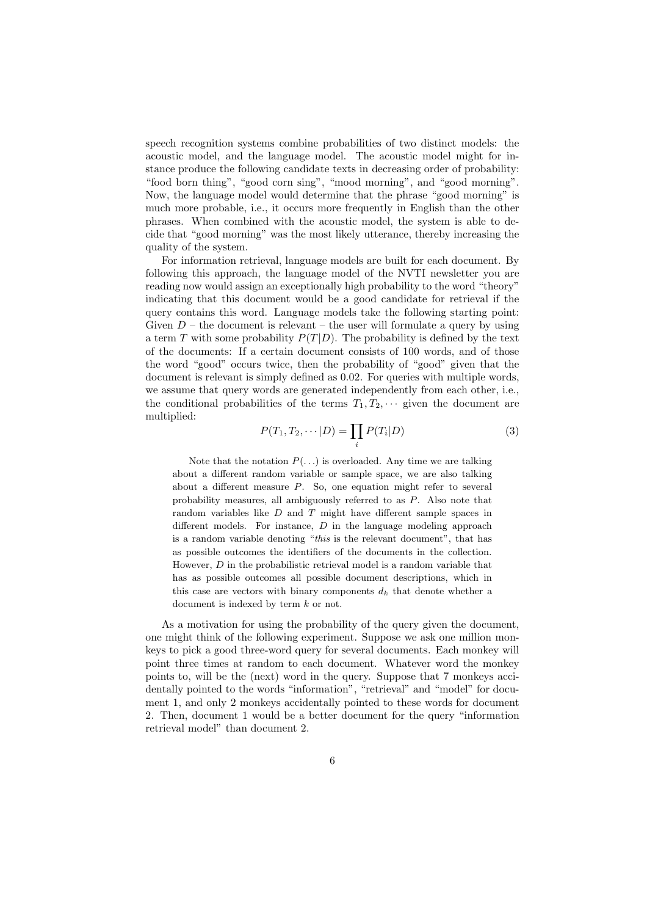speech recognition systems combine probabilities of two distinct models: the acoustic model, and the language model. The acoustic model might for instance produce the following candidate texts in decreasing order of probability: "food born thing", "good corn sing", "mood morning", and "good morning". Now, the language model would determine that the phrase "good morning" is much more probable, i.e., it occurs more frequently in English than the other phrases. When combined with the acoustic model, the system is able to decide that "good morning" was the most likely utterance, thereby increasing the quality of the system.

For information retrieval, language models are built for each document. By following this approach, the language model of the NVTI newsletter you are reading now would assign an exceptionally high probability to the word "theory" indicating that this document would be a good candidate for retrieval if the query contains this word. Language models take the following starting point: Given  $D$  – the document is relevant – the user will formulate a query by using a term T with some probability  $P(T|D)$ . The probability is defined by the text of the documents: If a certain document consists of 100 words, and of those the word "good" occurs twice, then the probability of "good" given that the document is relevant is simply defined as 0.02. For queries with multiple words, we assume that query words are generated independently from each other, i.e., the conditional probabilities of the terms  $T_1, T_2, \cdots$  given the document are multiplied:

$$
P(T_1, T_2, \cdots | D) = \prod_i P(T_i | D)
$$
\n(3)

Note that the notation  $P(\ldots)$  is overloaded. Any time we are talking about a different random variable or sample space, we are also talking about a different measure  $P$ . So, one equation might refer to several probability measures, all ambiguously referred to as P. Also note that random variables like  $D$  and  $T$  might have different sample spaces in different models. For instance,  $D$  in the language modeling approach is a random variable denoting "this is the relevant document", that has as possible outcomes the identifiers of the documents in the collection. However,  $D$  in the probabilistic retrieval model is a random variable that has as possible outcomes all possible document descriptions, which in this case are vectors with binary components  $d_k$  that denote whether a document is indexed by term k or not.

As a motivation for using the probability of the query given the document, one might think of the following experiment. Suppose we ask one million monkeys to pick a good three-word query for several documents. Each monkey will point three times at random to each document. Whatever word the monkey points to, will be the (next) word in the query. Suppose that 7 monkeys accidentally pointed to the words "information", "retrieval" and "model" for document 1, and only 2 monkeys accidentally pointed to these words for document 2. Then, document 1 would be a better document for the query "information retrieval model" than document 2.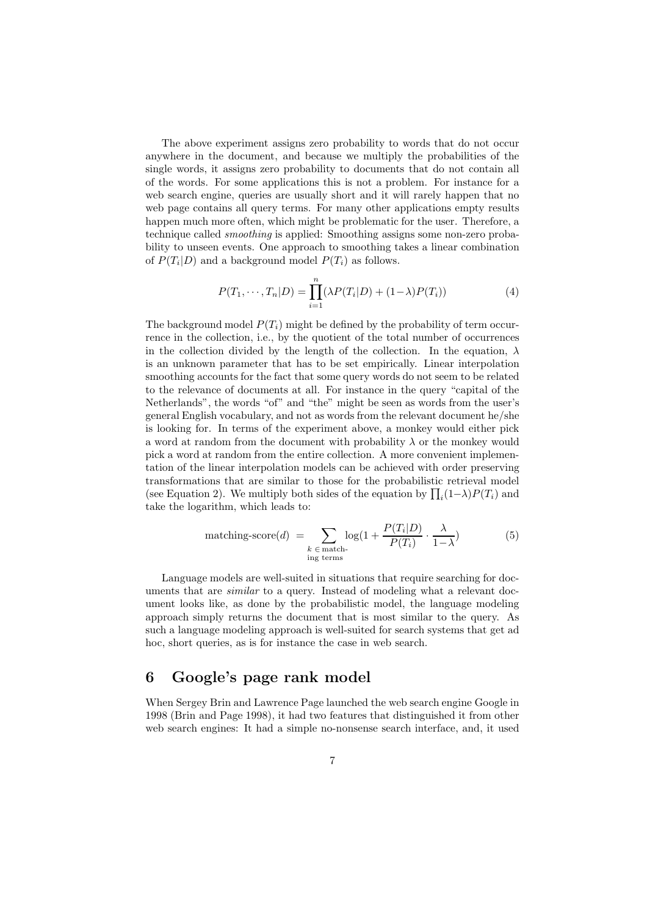The above experiment assigns zero probability to words that do not occur anywhere in the document, and because we multiply the probabilities of the single words, it assigns zero probability to documents that do not contain all of the words. For some applications this is not a problem. For instance for a web search engine, queries are usually short and it will rarely happen that no web page contains all query terms. For many other applications empty results happen much more often, which might be problematic for the user. Therefore, a technique called smoothing is applied: Smoothing assigns some non-zero probability to unseen events. One approach to smoothing takes a linear combination of  $P(T_i|D)$  and a background model  $P(T_i)$  as follows.

$$
P(T_1, \cdots, T_n | D) = \prod_{i=1}^n (\lambda P(T_i | D) + (1 - \lambda) P(T_i))
$$
\n(4)

The background model  $P(T_i)$  might be defined by the probability of term occurrence in the collection, i.e., by the quotient of the total number of occurrences in the collection divided by the length of the collection. In the equation,  $\lambda$ is an unknown parameter that has to be set empirically. Linear interpolation smoothing accounts for the fact that some query words do not seem to be related to the relevance of documents at all. For instance in the query "capital of the Netherlands", the words "of" and "the" might be seen as words from the user's general English vocabulary, and not as words from the relevant document he/she is looking for. In terms of the experiment above, a monkey would either pick a word at random from the document with probability  $\lambda$  or the monkey would pick a word at random from the entire collection. A more convenient implementation of the linear interpolation models can be achieved with order preserving transformations that are similar to those for the probabilistic retrieval model (see Equation 2). We multiply both sides of the equation by  $\prod_i (1-\lambda)P(T_i)$  and take the logarithm, which leads to:

$$
\text{matching-score}(d) = \sum_{\substack{k \in \text{match} \\ \text{ing terms}}} \log(1 + \frac{P(T_i|D)}{P(T_i)} \cdot \frac{\lambda}{1 - \lambda}) \tag{5}
$$

Language models are well-suited in situations that require searching for documents that are *similar* to a query. Instead of modeling what a relevant document looks like, as done by the probabilistic model, the language modeling approach simply returns the document that is most similar to the query. As such a language modeling approach is well-suited for search systems that get ad hoc, short queries, as is for instance the case in web search.

### 6 Google's page rank model

When Sergey Brin and Lawrence Page launched the web search engine Google in 1998 (Brin and Page 1998), it had two features that distinguished it from other web search engines: It had a simple no-nonsense search interface, and, it used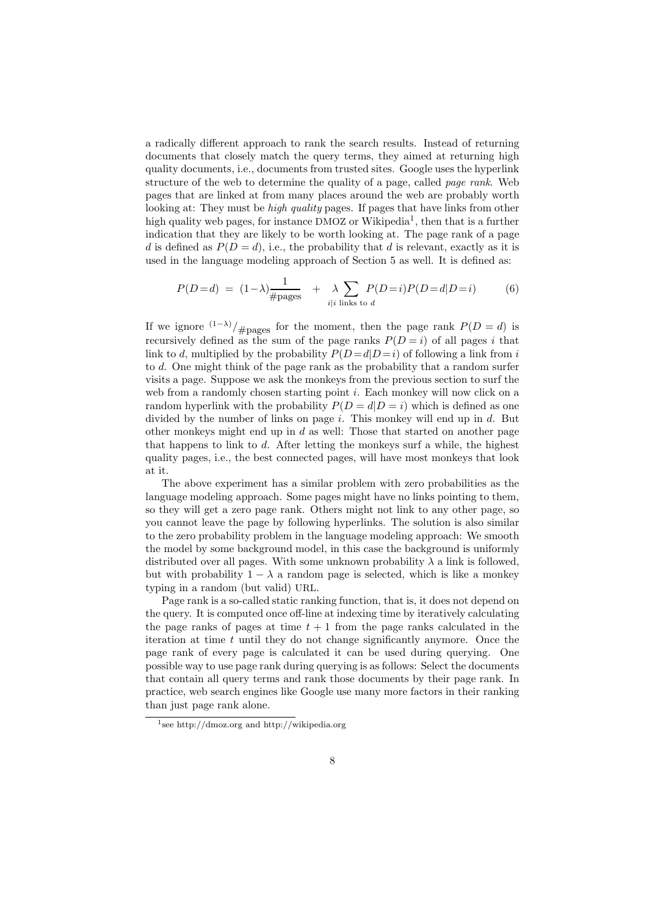a radically different approach to rank the search results. Instead of returning documents that closely match the query terms, they aimed at returning high quality documents, i.e., documents from trusted sites. Google uses the hyperlink structure of the web to determine the quality of a page, called page rank. Web pages that are linked at from many places around the web are probably worth looking at: They must be high quality pages. If pages that have links from other high quality web pages, for instance DMOZ or Wikipedia<sup>1</sup>, then that is a further indication that they are likely to be worth looking at. The page rank of a page d is defined as  $P(D = d)$ , i.e., the probability that d is relevant, exactly as it is used in the language modeling approach of Section 5 as well. It is defined as:

$$
P(D=d) = (1-\lambda)\frac{1}{\#\text{pages}} + \lambda \sum_{i|i\text{ links to }d} P(D=i)P(D=d|D=i)
$$
 (6)

If we ignore  $(1-\lambda)/\mu_{\text{bases}}$  for the moment, then the page rank  $P(D = d)$  is recursively defined as the sum of the page ranks  $P(D = i)$  of all pages i that link to d, multiplied by the probability  $P(D=d|D=i)$  of following a link from i to d. One might think of the page rank as the probability that a random surfer visits a page. Suppose we ask the monkeys from the previous section to surf the web from a randomly chosen starting point i. Each monkey will now click on a random hyperlink with the probability  $P(D = d|D = i)$  which is defined as one divided by the number of links on page  $i$ . This monkey will end up in  $d$ . But other monkeys might end up in  $d$  as well: Those that started on another page that happens to link to d. After letting the monkeys surf a while, the highest quality pages, i.e., the best connected pages, will have most monkeys that look at it.

The above experiment has a similar problem with zero probabilities as the language modeling approach. Some pages might have no links pointing to them, so they will get a zero page rank. Others might not link to any other page, so you cannot leave the page by following hyperlinks. The solution is also similar to the zero probability problem in the language modeling approach: We smooth the model by some background model, in this case the background is uniformly distributed over all pages. With some unknown probability  $\lambda$  a link is followed, but with probability  $1 - \lambda$  a random page is selected, which is like a monkey typing in a random (but valid) URL.

Page rank is a so-called static ranking function, that is, it does not depend on the query. It is computed once off-line at indexing time by iteratively calculating the page ranks of pages at time  $t + 1$  from the page ranks calculated in the iteration at time  $t$  until they do not change significantly anymore. Once the page rank of every page is calculated it can be used during querying. One possible way to use page rank during querying is as follows: Select the documents that contain all query terms and rank those documents by their page rank. In practice, web search engines like Google use many more factors in their ranking than just page rank alone.

<sup>1</sup> see http://dmoz.org and http://wikipedia.org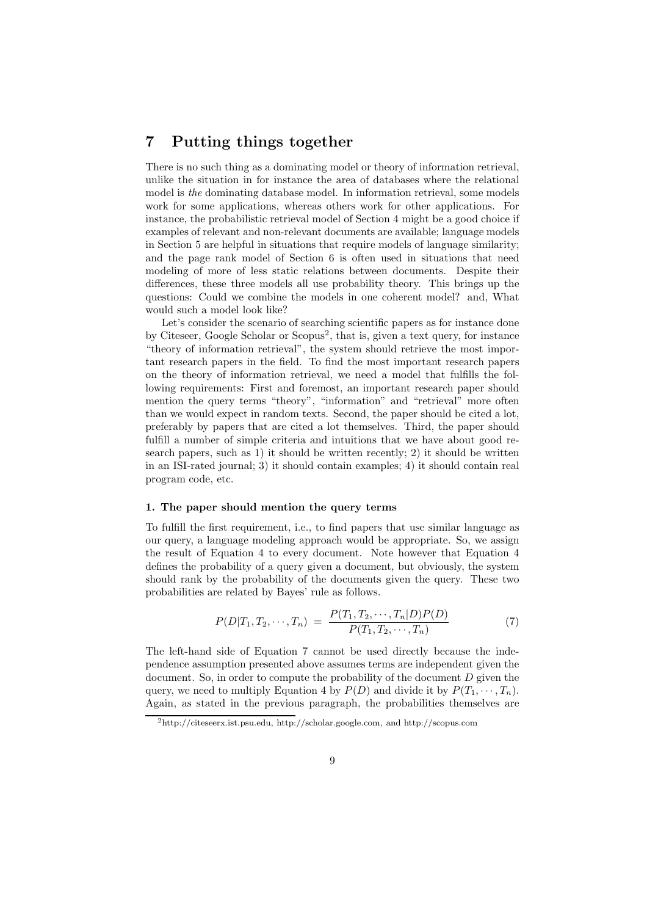### 7 Putting things together

There is no such thing as a dominating model or theory of information retrieval, unlike the situation in for instance the area of databases where the relational model is the dominating database model. In information retrieval, some models work for some applications, whereas others work for other applications. For instance, the probabilistic retrieval model of Section 4 might be a good choice if examples of relevant and non-relevant documents are available; language models in Section 5 are helpful in situations that require models of language similarity; and the page rank model of Section 6 is often used in situations that need modeling of more of less static relations between documents. Despite their differences, these three models all use probability theory. This brings up the questions: Could we combine the models in one coherent model? and, What would such a model look like?

Let's consider the scenario of searching scientific papers as for instance done by Citeseer, Google Scholar or Scopus<sup>2</sup>, that is, given a text query, for instance "theory of information retrieval", the system should retrieve the most important research papers in the field. To find the most important research papers on the theory of information retrieval, we need a model that fulfills the following requirements: First and foremost, an important research paper should mention the query terms "theory", "information" and "retrieval" more often than we would expect in random texts. Second, the paper should be cited a lot, preferably by papers that are cited a lot themselves. Third, the paper should fulfill a number of simple criteria and intuitions that we have about good research papers, such as 1) it should be written recently; 2) it should be written in an ISI-rated journal; 3) it should contain examples; 4) it should contain real program code, etc.

#### 1. The paper should mention the query terms

To fulfill the first requirement, i.e., to find papers that use similar language as our query, a language modeling approach would be appropriate. So, we assign the result of Equation 4 to every document. Note however that Equation 4 defines the probability of a query given a document, but obviously, the system should rank by the probability of the documents given the query. These two probabilities are related by Bayes' rule as follows.

$$
P(D|T_1, T_2, \cdots, T_n) = \frac{P(T_1, T_2, \cdots, T_n | D) P(D)}{P(T_1, T_2, \cdots, T_n)}
$$
(7)

The left-hand side of Equation 7 cannot be used directly because the independence assumption presented above assumes terms are independent given the document. So, in order to compute the probability of the document  $D$  given the query, we need to multiply Equation 4 by  $P(D)$  and divide it by  $P(T_1, \dots, T_n)$ . Again, as stated in the previous paragraph, the probabilities themselves are

<sup>2</sup>http://citeseerx.ist.psu.edu, http://scholar.google.com, and http://scopus.com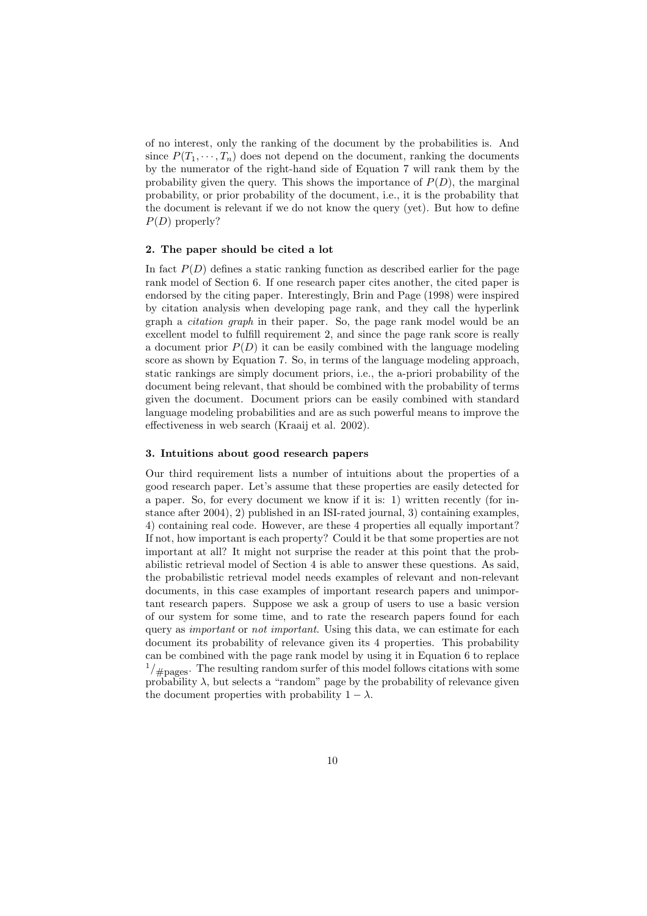of no interest, only the ranking of the document by the probabilities is. And since  $P(T_1, \dots, T_n)$  does not depend on the document, ranking the documents by the numerator of the right-hand side of Equation 7 will rank them by the probability given the query. This shows the importance of  $P(D)$ , the marginal probability, or prior probability of the document, i.e., it is the probability that the document is relevant if we do not know the query (yet). But how to define  $P(D)$  properly?

#### 2. The paper should be cited a lot

In fact  $P(D)$  defines a static ranking function as described earlier for the page rank model of Section 6. If one research paper cites another, the cited paper is endorsed by the citing paper. Interestingly, Brin and Page (1998) were inspired by citation analysis when developing page rank, and they call the hyperlink graph a citation graph in their paper. So, the page rank model would be an excellent model to fulfill requirement 2, and since the page rank score is really a document prior  $P(D)$  it can be easily combined with the language modeling score as shown by Equation 7. So, in terms of the language modeling approach, static rankings are simply document priors, i.e., the a-priori probability of the document being relevant, that should be combined with the probability of terms given the document. Document priors can be easily combined with standard language modeling probabilities and are as such powerful means to improve the effectiveness in web search (Kraaij et al. 2002).

#### 3. Intuitions about good research papers

Our third requirement lists a number of intuitions about the properties of a good research paper. Let's assume that these properties are easily detected for a paper. So, for every document we know if it is: 1) written recently (for instance after 2004), 2) published in an ISI-rated journal, 3) containing examples, 4) containing real code. However, are these 4 properties all equally important? If not, how important is each property? Could it be that some properties are not important at all? It might not surprise the reader at this point that the probabilistic retrieval model of Section 4 is able to answer these questions. As said, the probabilistic retrieval model needs examples of relevant and non-relevant documents, in this case examples of important research papers and unimportant research papers. Suppose we ask a group of users to use a basic version of our system for some time, and to rate the research papers found for each query as important or not important. Using this data, we can estimate for each document its probability of relevance given its 4 properties. This probability can be combined with the page rank model by using it in Equation 6 to replace  $^{1}/_{\mu_{\text{Dages}}}$ . The resulting random surfer of this model follows citations with some probability  $\lambda$ , but selects a "random" page by the probability of relevance given the document properties with probability  $1 - \lambda$ .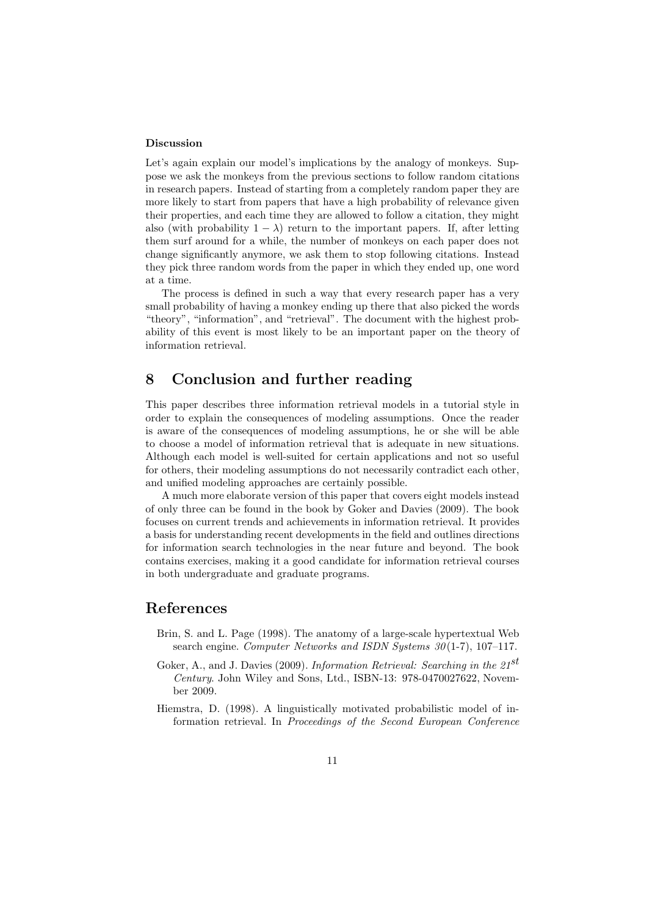#### Discussion

Let's again explain our model's implications by the analogy of monkeys. Suppose we ask the monkeys from the previous sections to follow random citations in research papers. Instead of starting from a completely random paper they are more likely to start from papers that have a high probability of relevance given their properties, and each time they are allowed to follow a citation, they might also (with probability  $1 - \lambda$ ) return to the important papers. If, after letting them surf around for a while, the number of monkeys on each paper does not change significantly anymore, we ask them to stop following citations. Instead they pick three random words from the paper in which they ended up, one word at a time.

The process is defined in such a way that every research paper has a very small probability of having a monkey ending up there that also picked the words "theory", "information", and "retrieval". The document with the highest probability of this event is most likely to be an important paper on the theory of information retrieval.

# 8 Conclusion and further reading

This paper describes three information retrieval models in a tutorial style in order to explain the consequences of modeling assumptions. Once the reader is aware of the consequences of modeling assumptions, he or she will be able to choose a model of information retrieval that is adequate in new situations. Although each model is well-suited for certain applications and not so useful for others, their modeling assumptions do not necessarily contradict each other, and unified modeling approaches are certainly possible.

A much more elaborate version of this paper that covers eight models instead of only three can be found in the book by Goker and Davies (2009). The book focuses on current trends and achievements in information retrieval. It provides a basis for understanding recent developments in the field and outlines directions for information search technologies in the near future and beyond. The book contains exercises, making it a good candidate for information retrieval courses in both undergraduate and graduate programs.

#### References

- Brin, S. and L. Page (1998). The anatomy of a large-scale hypertextual Web search engine. Computer Networks and ISDN Systems 30(1-7), 107–117.
- Goker, A., and J. Davies (2009). Information Retrieval: Searching in the  $21^{st}$ Century. John Wiley and Sons, Ltd., ISBN-13: 978-0470027622, November 2009.
- Hiemstra, D. (1998). A linguistically motivated probabilistic model of information retrieval. In Proceedings of the Second European Conference